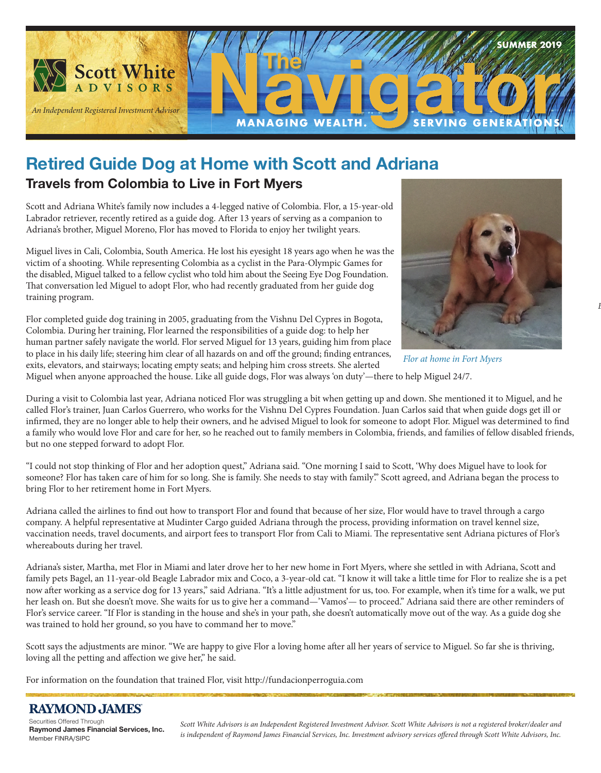

### **Retired Guide Dog at Home with Scott and Adriana**

### **Travels from Colombia to Live in Fort Myers**

Scott and Adriana White's family now includes a 4-legged native of Colombia. Flor, a 15-year-old Labrador retriever, recently retired as a guide dog. After 13 years of serving as a companion to Adriana's brother, Miguel Moreno, Flor has moved to Florida to enjoy her twilight years.

Miguel lives in Cali, Colombia, South America. He lost his eyesight 18 years ago when he was the victim of a shooting. While representing Colombia as a cyclist in the Para-Olympic Games for the disabled, Miguel talked to a fellow cyclist who told him about the Seeing Eye Dog Foundation. That conversation led Miguel to adopt Flor, who had recently graduated from her guide dog training program.

Flor completed guide dog training in 2005, graduating from the Vishnu Del Cypres in Bogota, Colombia. During her training, Flor learned the responsibilities of a guide dog: to help her human partner safely navigate the world. Flor served Miguel for 13 years, guiding him from place to place in his daily life; steering him clear of all hazards on and off the ground; finding entrances, exits, elevators, and stairways; locating empty seats; and helping him cross streets. She alerted



*Before Irma, our offi ce is secured.*

*Flor at home in Fort Myers*

Miguel when anyone approached the house. Like all guide dogs, Flor was always 'on duty'—there to help Miguel 24/7.

During a visit to Colombia last year, Adriana noticed Flor was struggling a bit when getting up and down. She mentioned it to Miguel, and he called Flor's trainer, Juan Carlos Guerrero, who works for the Vishnu Del Cypres Foundation. Juan Carlos said that when guide dogs get ill or infirmed, they are no longer able to help their owners, and he advised Miguel to look for someone to adopt Flor. Miguel was determined to find a family who would love Flor and care for her, so he reached out to family members in Colombia, friends, and families of fellow disabled friends, but no one stepped forward to adopt Flor.

"I could not stop thinking of Flor and her adoption quest," Adriana said. "One morning I said to Scott, 'Why does Miguel have to look for someone? Flor has taken care of him for so long. She is family. She needs to stay with family'." Scott agreed, and Adriana began the process to bring Flor to her retirement home in Fort Myers.

Adriana called the airlines to find out how to transport Flor and found that because of her size, Flor would have to travel through a cargo company. A helpful representative at Mudinter Cargo guided Adriana through the process, providing information on travel kennel size, vaccination needs, travel documents, and airport fees to transport Flor from Cali to Miami. The representative sent Adriana pictures of Flor's whereabouts during her travel.

Adriana's sister, Martha, met Flor in Miami and later drove her to her new home in Fort Myers, where she settled in with Adriana, Scott and family pets Bagel, an 11-year-old Beagle Labrador mix and Coco, a 3-year-old cat. "I know it will take a little time for Flor to realize she is a pet now after working as a service dog for 13 years," said Adriana. "It's a little adjustment for us, too. For example, when it's time for a walk, we put her leash on. But she doesn't move. She waits for us to give her a command—'Vamos'— to proceed." Adriana said there are other reminders of Flor's service career. "If Flor is standing in the house and she's in your path, she doesn't automatically move out of the way. As a guide dog she was trained to hold her ground, so you have to command her to move."

Scott says the adjustments are minor. "We are happy to give Flor a loving home after all her years of service to Miguel. So far she is thriving, loving all the petting and affection we give her," he said.

For information on the foundation that trained Flor, visit http://fundacionperroguia.com

#### **RAYMOND JAMES**

Securities Offered Through **Raymond James Financial Services, Inc.**  Member FINRA/SIPC

*Scott White Advisors is an Independent Registered Investment Advisor. Scott White Advisors is not a registered broker/dealer and*  is independent of Raymond James Financial Services, Inc. Investment advisory services offered through Scott White Advisors, Inc.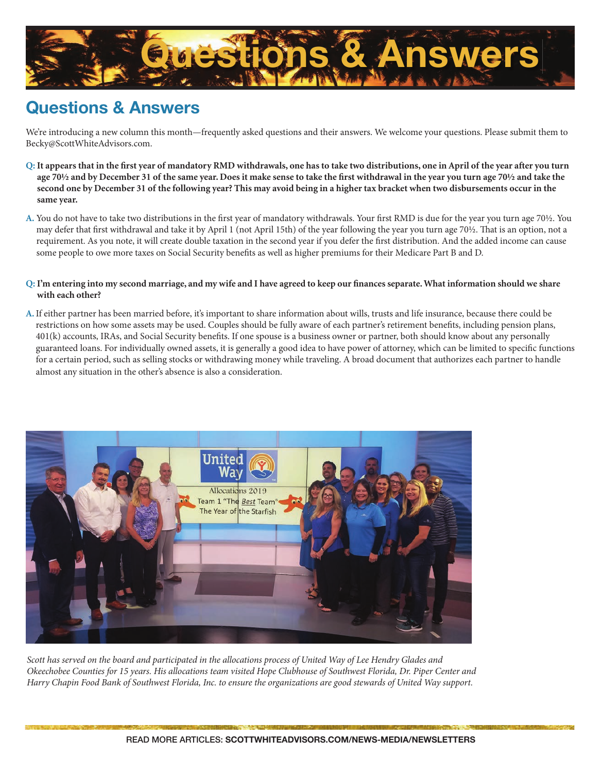

# **Questions & Answers**

We're introducing a new column this month—frequently asked questions and their answers. We welcome your questions. Please submit them to Becky@ScottWhiteAdvisors.com.

- Q: It appears that in the first year of mandatory RMD withdrawals, one has to take two distributions, one in April of the year after you turn age 70<sup>1</sup>/<sub>2</sub> and by December 31 of the same year. Does it make sense to take the first withdrawal in the year you turn age 70<sup>1</sup>/<sub>2</sub> and take the **second one by December 31 of the following year? This may avoid being in a higher tax bracket when two disbursements occur in the same year.**
- A. You do not have to take two distributions in the first year of mandatory withdrawals. Your first RMD is due for the year you turn age 70½. You may defer that first withdrawal and take it by April 1 (not April 15th) of the year following the year you turn age 70½. That is an option, not a requirement. As you note, it will create double taxation in the second year if you defer the first distribution. And the added income can cause some people to owe more taxes on Social Security benefits as well as higher premiums for their Medicare Part B and D.
- Q: I'm entering into my second marriage, and my wife and I have agreed to keep our finances separate. What information should we share **with each other?**
- **A.** If either partner has been married before, it's important to share information about wills, trusts and life insurance, because there could be restrictions on how some assets may be used. Couples should be fully aware of each partner's retirement benefits, including pension plans, 401(k) accounts, IRAs, and Social Security benefits. If one spouse is a business owner or partner, both should know about any personally guaranteed loans. For individually owned assets, it is generally a good idea to have power of attorney, which can be limited to specific functions for a certain period, such as selling stocks or withdrawing money while traveling. A broad document that authorizes each partner to handle almost any situation in the other's absence is also a consideration.



*Scott has served on the board and participated in the allocations process of United Way of Lee Hendry Glades and Okeechobee Counties for 15 years. His allocations team visited Hope Clubhouse of Southwest Florida, Dr. Piper Center and Harry Chapin Food Bank of Southwest Florida, Inc. to ensure the organizations are good stewards of United Way support.*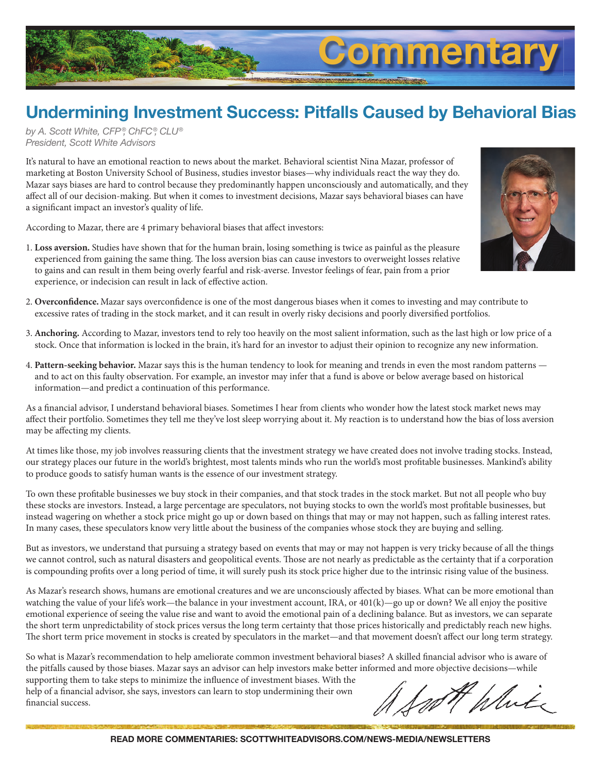

# **Undermining Investment Success: Pitfalls Caused by Behavioral Bias**

*by A. Scott White, CFP ®, ChFC®, CLU® President, Scott White Advisors*

It's natural to have an emotional reaction to news about the market. Behavioral scientist Nina Mazar, professor of marketing at Boston University School of Business, studies investor biases—why individuals react the way they do. Mazar says biases are hard to control because they predominantly happen unconsciously and automatically, and they affect all of our decision-making. But when it comes to investment decisions, Mazar says behavioral biases can have a significant impact an investor's quality of life.

According to Mazar, there are 4 primary behavioral biases that affect investors:



- 1. **Loss aversion.** Studies have shown that for the human brain, losing something is twice as painful as the pleasure experienced from gaining the same thing. The loss aversion bias can cause investors to overweight losses relative to gains and can result in them being overly fearful and risk-averse. Investor feelings of fear, pain from a prior experience, or indecision can result in lack of effective action.
- 2. Overconfidence. Mazar says overconfidence is one of the most dangerous biases when it comes to investing and may contribute to excessive rates of trading in the stock market, and it can result in overly risky decisions and poorly diversified portfolios.
- 3. **Anchoring.** According to Mazar, investors tend to rely too heavily on the most salient information, such as the last high or low price of a stock. Once that information is locked in the brain, it's hard for an investor to adjust their opinion to recognize any new information.
- 4. **Pattern-seeking behavior.** Mazar says this is the human tendency to look for meaning and trends in even the most random patterns and to act on this faulty observation. For example, an investor may infer that a fund is above or below average based on historical information—and predict a continuation of this performance.

As a financial advisor, I understand behavioral biases. Sometimes I hear from clients who wonder how the latest stock market news may affect their portfolio. Sometimes they tell me they've lost sleep worrying about it. My reaction is to understand how the bias of loss aversion may be affecting my clients.

At times like those, my job involves reassuring clients that the investment strategy we have created does not involve trading stocks. Instead, our strategy places our future in the world's brightest, most talents minds who run the world's most profitable businesses. Mankind's ability to produce goods to satisfy human wants is the essence of our investment strategy.

To own these profitable businesses we buy stock in their companies, and that stock trades in the stock market. But not all people who buy these stocks are investors. Instead, a large percentage are speculators, not buying stocks to own the world's most profitable businesses, but instead wagering on whether a stock price might go up or down based on things that may or may not happen, such as falling interest rates. In many cases, these speculators know very little about the business of the companies whose stock they are buying and selling.

But as investors, we understand that pursuing a strategy based on events that may or may not happen is very tricky because of all the things we cannot control, such as natural disasters and geopolitical events. Those are not nearly as predictable as the certainty that if a corporation is compounding profits over a long period of time, it will surely push its stock price higher due to the intrinsic rising value of the business.

As Mazar's research shows, humans are emotional creatures and we are unconsciously affected by biases. What can be more emotional than watching the value of your life's work—the balance in your investment account, IRA, or 401(k)—go up or down? We all enjoy the positive emotional experience of seeing the value rise and want to avoid the emotional pain of a declining balance. But as investors, we can separate the short term unpredictability of stock prices versus the long term certainty that those prices historically and predictably reach new highs. The short term price movement in stocks is created by speculators in the market—and that movement doesn't affect our long term strategy.

So what is Mazar's recommendation to help ameliorate common investment behavioral biases? A skilled financial advisor who is aware of the pitfalls caused by those biases. Mazar says an advisor can help investors make better informed and more objective decisions—while

supporting them to take steps to minimize the influence of investment biases. With the help of a financial advisor, she says, investors can learn to stop undermining their own financial success.

White